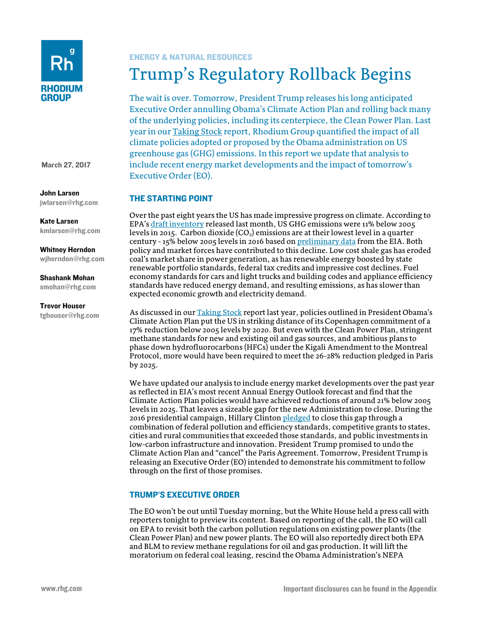

March 27, 2017

## John Larsen

[jwlarsen@rhg.com](mailto:jwlarsen@rhg.com)

Kate Larsen [kmlarsen@rhg.com](mailto:kmlarsen@rhg.com)

Whitney Herndon [wjherndon@rhg.com](mailto:wjherndon@rhg.com)

### Shashank Mohan [smohan@rhg.com](mailto:smohan@rhg.com)

# Trevor Houser

[tghouser@rhg.com](mailto:tghouser@rhg.com)

## ENERGY & NATURAL RESOURCES

# Trump's Regulatory Rollback Begins

The wait is over. Tomorrow, President Trump releases his long anticipated Executive Order annulling Obama's Climate Action Plan and rolling back many of the underlying policies, including its centerpiece, the Clean Power Plan. Last year in ou[r Taking Stock](http://rhg.com/reports/progress-toward-meeting-us-climate-goals) report, Rhodium Group quantified the impact of all climate policies adopted or proposed by the Obama administration on US greenhouse gas (GHG) emissions. In this report we update that analysis to include recent energy market developments and the impact of tomorrow's Executive Order (EO).

# THE STARTING POINT

Over the past eight years the US has made impressive progress on climate. According to EPA's [draft inventory](https://www.epa.gov/ghgemissions/inventory-us-greenhouse-gas-emissions-and-sinks) released last month, US GHG emissions were 11% below 2005 levels in 2015. Carbon dioxide  $(CO_2)$  emissions are at their lowest level in a quarter century - 15% below 2005 levels in 2016 based o[n preliminary data](https://www.eia.gov/totalenergy/data/monthly/) from the EIA. Both policy and market forces have contributed to this decline. Low cost shale gas has eroded coal's market share in power generation, as has renewable energy boosted by state renewable portfolio standards, federal tax credits and impressive cost declines. Fuel economy standards for cars and light trucks and building codes and appliance efficiency standards have reduced energy demand, and resulting emissions, as has slower than expected economic growth and electricity demand.

As discussed in our [Taking Stock](http://rhg.com/reports/progress-toward-meeting-us-climate-goals) report last year, policies outlined in President Obama's Climate Action Plan put the US in striking distance of its Copenhagen commitment of a 17% reduction below 2005 levels by 2020. But even with the Clean Power Plan, stringent methane standards for new and existing oil and gas sources, and ambitious plans to phase down hydrofluorocarbons (HFCs) under the Kigali Amendment to the Montreal Protocol, more would have been required to meet the 26-28% reduction pledged in Paris by 2025.

We have updated our analysis to include energy market developments over the past year as reflected in EIA's most recent Annual Energy Outlook forecast and find that the Climate Action Plan policies would have achieved reductions of around 21% below 2005 levels in 2025. That leaves a sizeable gap for the new Administration to close. During the 2016 presidential campaign, Hillary Clinto[n pledged](https://www.hillaryclinton.com/briefing/factsheets/2016/10/10/hillary-clintons-plan-for-combatting-climate-change-and-making-america-the-clean-energy-superpower-of-the-21st-century/) to close this gap through a combination of federal pollution and efficiency standards, competitive grants to states, cities and rural communities that exceeded those standards, and public investments in low-carbon infrastructure and innovation. President Trump promised to undo the Climate Action Plan and "cancel" the Paris Agreement. Tomorrow, President Trump is releasing an Executive Order (EO) intended to demonstrate his commitment to follow through on the first of those promises.

## TRUMP'S EXECUTIVE ORDER

The EO won't be out until Tuesday morning, but the White House held a press call with reporters tonight to preview its content. Based on reporting of the call, the EO will call on EPA to revisit both the carbon pollution regulations on existing power plants (the Clean Power Plan) and new power plants. The EO will also reportedly direct both EPA and BLM to review methane regulations for oil and gas production. It will lift the moratorium on federal coal leasing, rescind the Obama Administration's NEPA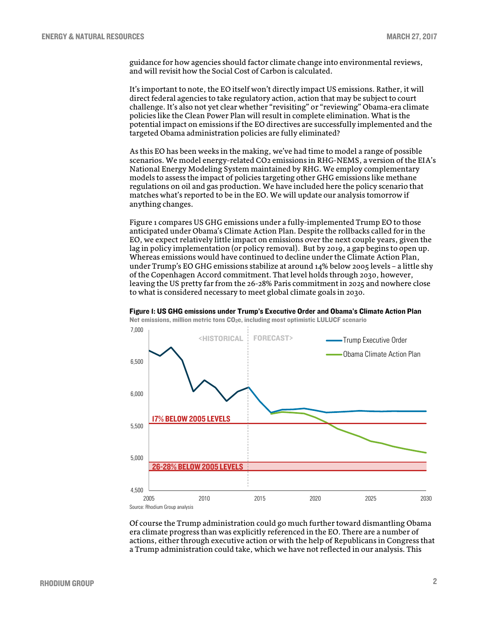guidance for how agencies should factor climate change into environmental reviews, and will revisit how the Social Cost of Carbon is calculated.

It's important to note, the EO itself won't directly impact US emissions. Rather, it will direct federal agencies to take regulatory action, action that may be subject to court challenge. It's also not yet clear whether "revisiting" or "reviewing" Obama-era climate policies like the Clean Power Plan will result in complete elimination. What is the potential impact on emissions if the EO directives are successfully implemented and the targeted Obama administration policies are fully eliminated?

As this EO has been weeks in the making, we've had time to model a range of possible scenarios. We model energy-related CO2 emissions in RHG-NEMS, a version of the EIA's National Energy Modeling System maintained by RHG. We employ complementary models to assess the impact of policies targeting other GHG emissions like methane regulations on oil and gas production. We have included here the policy scenario that matches what's reported to be in the EO. We will update our analysis tomorrow if anything changes.

Figure 1 compares US GHG emissions under a fully-implemented Trump EO to those anticipated under Obama's Climate Action Plan. Despite the rollbacks called for in the EO, we expect relatively little impact on emissions over the next couple years, given the lag in policy implementation (or policy removal). But by 2019, a gap begins to open up. Whereas emissions would have continued to decline under the Climate Action Plan, under Trump's EO GHG emissions stabilize at around 14% below 2005 levels – a little shy of the Copenhagen Accord commitment. That level holds through 2030, however, leaving the US pretty far from the 26-28% Paris commitment in 2025 and nowhere close to what is considered necessary to meet global climate goals in 2030.



Figure 1: US GHG emissions under Trump's Executive Order and Obama's Climate Action Plan

Of course the Trump administration could go much further toward dismantling Obama era climate progress than was explicitly referenced in the EO. There are a number of actions, either through executive action or with the help of Republicans in Congress that a Trump administration could take, which we have not reflected in our analysis. This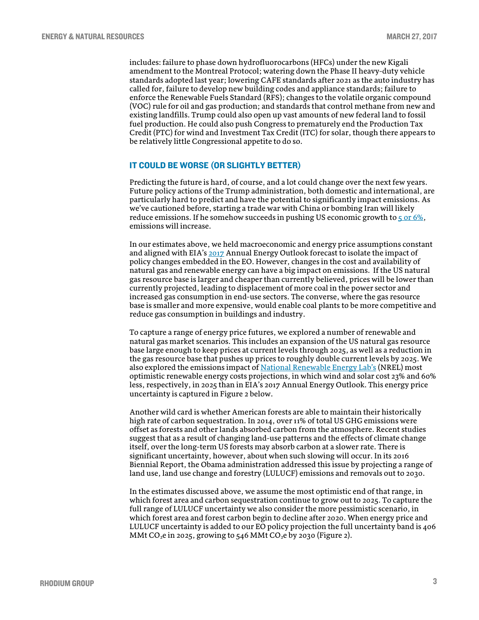includes: failure to phase down hydrofluorocarbons (HFCs) under the new Kigali amendment to the Montreal Protocol; watering down the Phase II heavy-duty vehicle standards adopted last year; lowering CAFE standards after 2021 as the auto industry has called for, failure to develop new building codes and appliance standards; failure to enforce the Renewable Fuels Standard (RFS); changes to the volatile organic compound (VOC) rule for oil and gas production; and standards that control methane from new and existing landfills. Trump could also open up vast amounts of new federal land to fossil fuel production. He could also push Congress to prematurely end the Production Tax Credit (PTC) for wind and Investment Tax Credit (ITC) for solar, though there appears to be relatively little Congressional appetite to do so.

#### IT COULD BE WORSE (OR SLIGHTLY BETTER)

Predicting the future is hard, of course, and a lot could change over the next few years. Future policy actions of the Trump administration, both domestic and international, are particularly hard to predict and have the potential to significantly impact emissions. As we've cautioned before, starting a trade war with China or bombing Iran will likely reduce emissions. If he somehow succeeds in pushing US economic growth to  $5$  or  $6\%$ , emissions will increase.

In our estimates above, we held macroeconomic and energy price assumptions constant and aligned with EIA'[s 2017](https://www.eia.gov/outlooks/aeo/) Annual Energy Outlook forecast to isolate the impact of policy changes embedded in the EO. However, changes in the cost and availability of natural gas and renewable energy can have a big impact on emissions. If the US natural gas resource base is larger and cheaper than currently believed, prices will be lower than currently projected, leading to displacement of more coal in the power sector and increased gas consumption in end-use sectors. The converse, where the gas resource base is smaller and more expensive, would enable coal plants to be more competitive and reduce gas consumption in buildings and industry.

To capture a range of energy price futures, we explored a number of renewable and natural gas market scenarios. This includes an expansion of the US natural gas resource base large enough to keep prices at current levels through 2025, as well as a reduction in the gas resource base that pushes up prices to roughly double current levels by 2025. We also explored the emissions impact of [National Renewable Energy Lab's](http://www.nrel.gov/analysis/data_tech_baseline.html) (NREL) most optimistic renewable energy costs projections, in which wind and solar cost 23% and 60% less, respectively, in 2025 than in EIA's 2017 Annual Energy Outlook. This energy price uncertainty is captured in Figure 2 below.

Another wild card is whether American forests are able to maintain their historically high rate of carbon sequestration. In 2014, over 11% of total US GHG emissions were offset as forests and other lands absorbed carbon from the atmosphere. Recent studies suggest that as a result of changing land-use patterns and the effects of climate change itself, over the long-term US forests may absorb carbon at a slower rate. There is significant uncertainty, however, about when such slowing will occur. In its 2016 Biennial Report, the Obama administration addressed this issue by projecting a range of land use, land use change and forestry (LULUCF) emissions and removals out to 2030.

In the estimates discussed above, we assume the most optimistic end of that range, in which forest area and carbon sequestration continue to grow out to 2025. To capture the full range of LULUCF uncertainty we also consider the more pessimistic scenario, in which forest area and forest carbon begin to decline after 2020. When energy price and LULUCF uncertainty is added to our EO policy projection the full uncertainty band is 406 MMt CO<sub>2</sub>e in 2025, growing to 546 MMt CO<sub>2</sub>e by 2030 (Figure 2).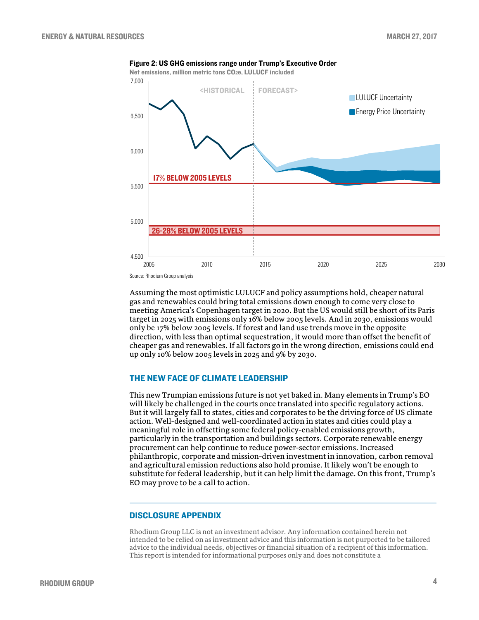



Assuming the most optimistic LULUCF and policy assumptions hold, cheaper natural gas and renewables could bring total emissions down enough to come very close to meeting America's Copenhagen target in 2020. But the US would still be short of its Paris target in 2025 with emissions only 16% below 2005 levels. And in 2030, emissions would only be 17% below 2005 levels. If forest and land use trends move in the opposite direction, with less than optimal sequestration, it would more than offset the benefit of cheaper gas and renewables. If all factors go in the wrong direction, emissions could end up only 10% below 2005 levels in 2025 and 9% by 2030.

## THE NEW FACE OF CLIMATE LEADERSHIP

This new Trumpian emissions future is not yet baked in. Many elements in Trump's EO will likely be challenged in the courts once translated into specific regulatory actions. But it will largely fall to states, cities and corporates to be the driving force of US climate action. Well-designed and well-coordinated action in states and cities could play a meaningful role in offsetting some federal policy-enabled emissions growth, particularly in the transportation and buildings sectors. Corporate renewable energy procurement can help continue to reduce power-sector emissions. Increased philanthropic, corporate and mission-driven investment in innovation, carbon removal and agricultural emission reductions also hold promise. It likely won't be enough to substitute for federal leadership, but it can help limit the damage. On this front, Trump's EO may prove to be a call to action.

#### DISCLOSURE APPENDIX

Rhodium Group LLC is not an investment advisor. Any information contained herein not intended to be relied on as investment advice and this information is not purported to be tailored advice to the individual needs, objectives or financial situation of a recipient of this information. This report is intended for informational purposes only and does not constitute a